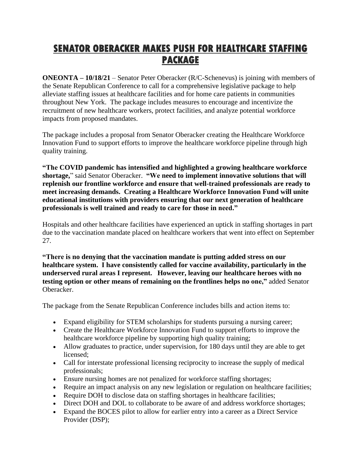## **SENATOR OBERACKER MAKES PUSH FOR HEALTHCARE STAFFING PACKAGE**

**ONEONTA – 10/18/21** – Senator Peter Oberacker (R/C-Schenevus) is joining with members of the Senate Republican Conference to call for a comprehensive legislative package to help alleviate staffing issues at healthcare facilities and for home care patients in communities throughout New York. The package includes measures to encourage and incentivize the recruitment of new healthcare workers, protect facilities, and analyze potential workforce impacts from proposed mandates.

The package includes a proposal from Senator Oberacker creating the Healthcare Workforce Innovation Fund to support efforts to improve the healthcare workforce pipeline through high quality training.

**"The COVID pandemic has intensified and highlighted a growing healthcare workforce shortage,**" said Senator Oberacker. **"We need to implement innovative solutions that will replenish our frontline workforce and ensure that well-trained professionals are ready to meet increasing demands. Creating a Healthcare Workforce Innovation Fund will unite educational institutions with providers ensuring that our next generation of healthcare professionals is well trained and ready to care for those in need."**

Hospitals and other healthcare facilities have experienced an uptick in staffing shortages in part due to the vaccination mandate placed on healthcare workers that went into effect on September 27.

**"There is no denying that the vaccination mandate is putting added stress on our healthcare system. I have consistently called for vaccine availability, particularly in the underserved rural areas I represent. However, leaving our healthcare heroes with no testing option or other means of remaining on the frontlines helps no one,"** added Senator Oberacker.

The package from the Senate Republican Conference includes bills and action items to:

- Expand eligibility for STEM scholarships for students pursuing a nursing career;
- Create the Healthcare Workforce Innovation Fund to support efforts to improve the healthcare workforce pipeline by supporting high quality training;
- Allow graduates to practice, under supervision, for 180 days until they are able to get licensed;
- Call for interstate professional licensing reciprocity to increase the supply of medical professionals;
- Ensure nursing homes are not penalized for workforce staffing shortages;
- Require an impact analysis on any new legislation or regulation on healthcare facilities;
- Require DOH to disclose data on staffing shortages in healthcare facilities;
- Direct DOH and DOL to collaborate to be aware of and address workforce shortages;
- Expand the BOCES pilot to allow for earlier entry into a career as a Direct Service Provider (DSP);